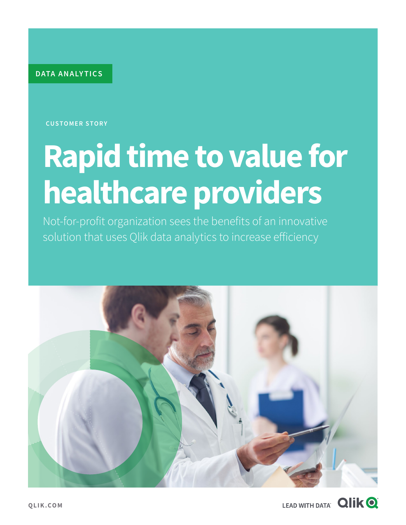**DATA ANALY TICS**

**CUSTOMER STORY**

# **Rapid time to value for healthcare providers**

Not-for-profit organization sees the benefits of an innovative solution that uses Qlik data analytics to increase efficiency



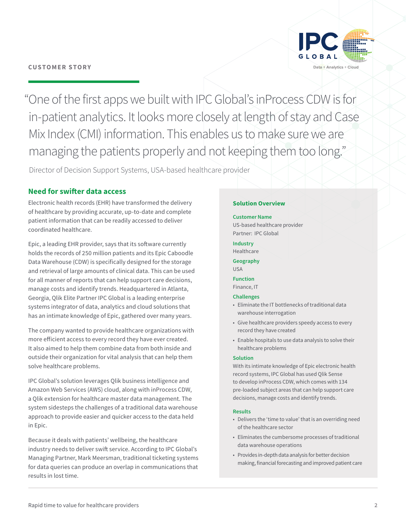

"One of the first apps we built with IPC Global's inProcess CDW is for in-patient analytics. It looks more closely at length of stay and Case Mix Index (CMI) information. This enables us to make sure we are managing the patients properly and not keeping them too long."

Director of Decision Support Systems, USA-based healthcare provider

#### **Need for swifter data access**

Electronic health records (EHR) have transformed the delivery of healthcare by providing accurate, up-to-date and complete patient information that can be readily accessed to deliver coordinated healthcare.

Epic, a leading EHR provider, says that its software currently holds the records of 250 million patients and its Epic Caboodle Data Warehouse (CDW) is specifically designed for the storage and retrieval of large amounts of clinical data. This can be used for all manner of reports that can help support care decisions, manage costs and identify trends. Headquartered in Atlanta, Georgia, Qlik Elite Partner IPC Global is a leading enterprise systems integrator of data, analytics and cloud solutions that has an intimate knowledge of Epic, gathered over many years.

The company wanted to provide healthcare organizations with more efficient access to every record they have ever created. It also aimed to help them combine data from both inside and outside their organization for vital analysis that can help them solve healthcare problems.

IPC Global's solution leverages Qlik business intelligence and Amazon Web Services (AWS) cloud, along with inProcess CDW, a Qlik extension for healthcare master data management. The system sidesteps the challenges of a traditional data warehouse approach to provide easier and quicker access to the data held in Epic.

Because it deals with patients' wellbeing, the healthcare industry needs to deliver swift service. According to IPC Global's Managing Partner, Mark Meersman, traditional ticketing systems for data queries can produce an overlap in communications that results in lost time.

#### **Solution Overview**

#### **Customer Name**

US-based healthcare provider Partner: IPC Global

**Industry** Healthcare

**Geography** USA

#### **Function** Finance, IT

#### **Challenges**

- Eliminate the IT bottlenecks of traditional data warehouse interrogation
- Give healthcare providers speedy access to every record they have created
- Enable hospitals to use data analysis to solve their healthcare problems

#### **Solution**

With its intimate knowledge of Epic electronic health record systems, IPC Global has used Qlik Sense to develop inProcess CDW, which comes with 134 pre-loaded subject areas that can help support care decisions, manage costs and identify trends.

#### **Results**

- Delivers the 'time to value' that is an overriding need of the healthcare sector
- Eliminates the cumbersome processes of traditional data warehouse operations
- Provides in-depth data analysis for better decision making, financial forecasting and improved patient care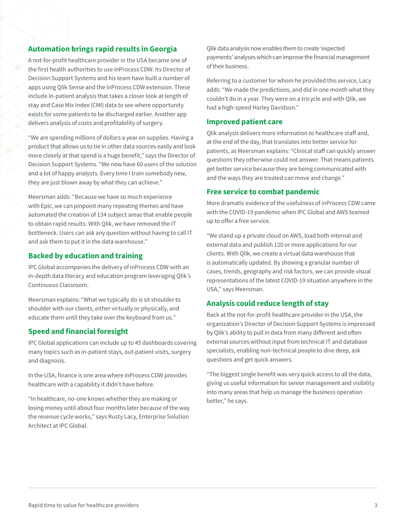#### **Automation brings rapid results in Georgia**

A not-for-profit healthcare provider in the USA became one of the first health authorities to use inProcess CDW. Its Director of Decision Support Systems and his team have built a number of apps using Qlik Sense and the inProcess CDW extension. These include in-patient analysis that takes a closer look at length of stay and Case Mix Index (CMI) data to see where opportunity exists for some patients to be discharged earlier. Another app delivers analysis of costs and profitability of surgery.

"We are spending millions of dollars a year on supplies. Having a product that allows us to tie in other data sources easily and look more closely at that spend is a huge benefit," says the Director of Decision Support Systems. "We now have 60 users of the solution and a lot of happy analysts. Every time I train somebody new, they are just blown away by what they can achieve."

Meersman adds: "Because we have so much experience with Epic, we can pinpoint many repeating themes and have automated the creation of 134 subject areas that enable people to obtain rapid results. With Qlik, we have removed the IT bottleneck. Users can ask any question without having to call IT and ask them to put it in the data warehouse."

#### **Backed by education and training**

IPC Global accompanies the delivery of inProcess CDW with an in-depth data literacy and education program leveraging Qlik's Continuous Classroom.

Meersman explains: "What we typically do is sit shoulder to shoulder with our clients, either virtually or physically, and educate them until they take over the keyboard from us."

#### **Speed and financial foresight**

IPC Global applications can include up to 45 dashboards covering many topics such as in-patient stays, out-patient visits, surgery and diagnosis.

In the USA, finance is one area where inProcess CDW provides healthcare with a capability it didn't have before.

"In healthcare, no-one knows whether they are making or losing money until about four months later because of the way the revenue cycle works," says Rusty Lacy, Enterprise Solution Architect at IPC Global.

Qlik data analysis now enables them to create 'expected payments' analyses which can improve the financial management of their business.

Referring to a customer for whom he provided this service, Lacy adds: "We made the predictions, and did in one month what they couldn't do in a year. They were on a tricycle and with Qlik, we had a high-speed Harley Davidson."

#### **Improved patient care**

Qlik analysis delivers more information to healthcare staff and, at the end of the day, that translates into better service for patients, as Meersman explains: "Clinical staff can quickly answer questions they otherwise could not answer. That means patients get better service because they are being communicated with and the ways they are treated can move and change."

#### **Free service to combat pandemic**

More dramatic evidence of the usefulness of inProcess CDW came with the COVID-19 pandemic when IPC Global and AWS teamed up to offer a free service.

"We stand up a private cloud on AWS, load both internal and external data and publish 120 or more applications for our clients. With Qlik, we create a virtual data warehouse that is automatically updated. By showing a granular number of cases, trends, geography and risk factors, we can provide visual representations of the latest COVID-19 situation anywhere in the USA," says Meersman.

#### **Analysis could reduce length of stay**

Back at the not-for-profit healthcare provider in the USA, the organization's Director of Decision Support Systems is impressed by Qlik's ability to pull in data from many different and often external sources without input from technical IT and database specialists, enabling non-technical people to dive deep, ask questions and get quick answers.

"The biggest single benefit was very quick access to all the data, giving us useful information for senior management and visibility into many areas that help us manage the business operation better," he says.